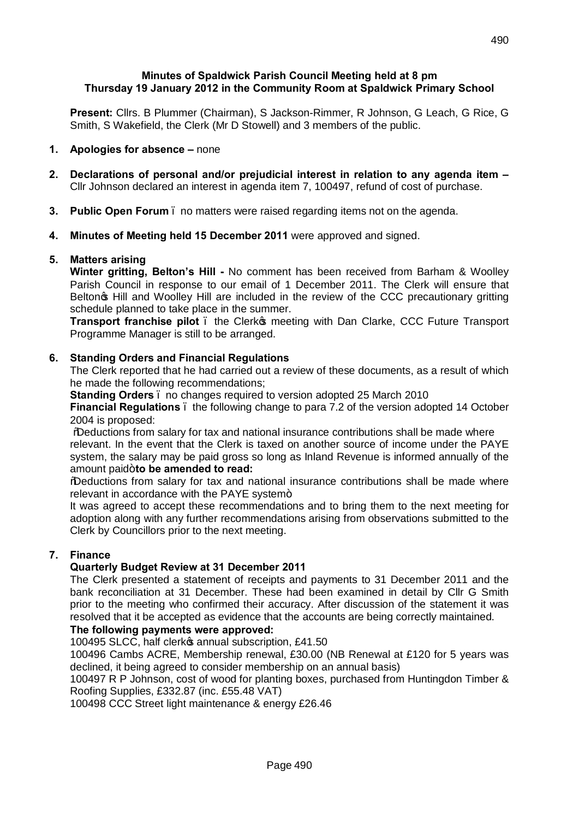### **Minutes of Spaldwick Parish Council Meeting held at 8 pm Thursday 19 January 2012 in the Community Room at Spaldwick Primary School**

**Present:** Cllrs. B Plummer (Chairman), S Jackson-Rimmer, R Johnson, G Leach, G Rice, G Smith, S Wakefield, the Clerk (Mr D Stowell) and 3 members of the public.

# **1. Apologies for absence –** none

- **2. Declarations of personal and/or prejudicial interest in relation to any agenda item –** Cllr Johnson declared an interest in agenda item 7, 100497, refund of cost of purchase.
- **3. Public Open Forum**  no matters were raised regarding items not on the agenda.
- **4. Minutes of Meeting held 15 December 2011** were approved and signed.

# **5. Matters arising**

**Winter gritting, Belton's Hill -** No comment has been received from Barham & Woolley Parish Council in response to our email of 1 December 2011. The Clerk will ensure that Belton<sub>®</sub> Hill and Woolley Hill are included in the review of the CCC precautionary gritting schedule planned to take place in the summer.

**Transport franchise pilot** . the Clerk opmeeting with Dan Clarke, CCC Future Transport Programme Manager is still to be arranged.

# **6. Standing Orders and Financial Regulations**

The Clerk reported that he had carried out a review of these documents, as a result of which he made the following recommendations;

**Standing Orders** – no changes required to version adopted 25 March 2010

**Financial Regulations** – the following change to para 7.2 of the version adopted 14 October 2004 is proposed:

"Deductions from salary for tax and national insurance contributions shall be made where relevant. In the event that the Clerk is taxed on another source of income under the PAYE system, the salary may be paid gross so long as Inland Revenue is informed annually of the amount paid+to be amended to read:

"Deductions from salary for tax and national insurance contributions shall be made where relevant in accordance with the PAYE system+

It was agreed to accept these recommendations and to bring them to the next meeting for adoption along with any further recommendations arising from observations submitted to the Clerk by Councillors prior to the next meeting.

### **7. Finance**

### **Quarterly Budget Review at 31 December 2011**

The Clerk presented a statement of receipts and payments to 31 December 2011 and the bank reconciliation at 31 December. These had been examined in detail by Cllr G Smith prior to the meeting who confirmed their accuracy. After discussion of the statement it was resolved that it be accepted as evidence that the accounts are being correctly maintained.

### **The following payments were approved:**

100495 SLCC, half clerko annual subscription, £41.50

100496 Cambs ACRE, Membership renewal, £30.00 (NB Renewal at £120 for 5 years was declined, it being agreed to consider membership on an annual basis)

100497 R P Johnson, cost of wood for planting boxes, purchased from Huntingdon Timber & Roofing Supplies, £332.87 (inc. £55.48 VAT)

100498 CCC Street light maintenance & energy £26.46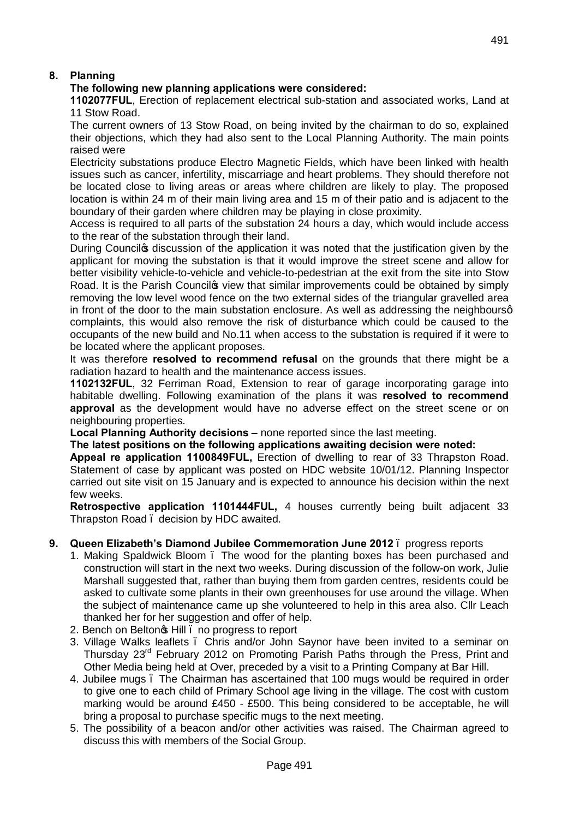# **8. Planning**

# **The following new planning applications were considered:**

**1102077FUL**, Erection of replacement electrical sub-station and associated works, Land at 11 Stow Road.

The current owners of 13 Stow Road, on being invited by the chairman to do so, explained their objections, which they had also sent to the Local Planning Authority. The main points raised were

Electricity substations produce Electro Magnetic Fields, which have been linked with health issues such as cancer, infertility, miscarriage and heart problems. They should therefore not be located close to living areas or areas where children are likely to play. The proposed location is within 24 m of their main living area and 15 m of their patio and is adjacent to the boundary of their garden where children may be playing in close proximity.

Access is required to all parts of the substation 24 hours a day, which would include access to the rear of the substation through their land.

During Council the discussion of the application it was noted that the justification given by the applicant for moving the substation is that it would improve the street scene and allow for better visibility vehicle-to-vehicle and vehicle-to-pedestrian at the exit from the site into Stow Road. It is the Parish Counciles view that similar improvements could be obtained by simply removing the low level wood fence on the two external sides of the triangular gravelled area in front of the door to the main substation enclosure. As well as addressing the neighboursg complaints, this would also remove the risk of disturbance which could be caused to the occupants of the new build and No.11 when access to the substation is required if it were to be located where the applicant proposes.

It was therefore **resolved to recommend refusal** on the grounds that there might be a radiation hazard to health and the maintenance access issues.

**1102132FUL**, 32 Ferriman Road, Extension to rear of garage incorporating garage into habitable dwelling. Following examination of the plans it was **resolved to recommend approval** as the development would have no adverse effect on the street scene or on neighbouring properties.

**Local Planning Authority decisions –** none reported since the last meeting.

### **The latest positions on the following applications awaiting decision were noted:**

**Appeal re application 1100849FUL,** Erection of dwelling to rear of 33 Thrapston Road. Statement of case by applicant was posted on HDC website 10/01/12. Planning Inspector carried out site visit on 15 January and is expected to announce his decision within the next few weeks.

**Retrospective application 1101444FUL,** 4 houses currently being built adjacent 33 Thrapston Road – decision by HDC awaited.

### **9. Queen Elizabeth's Diamond Jubilee Commemoration June 2012** – progress reports

- 1. Making Spaldwick Bloom The wood for the planting boxes has been purchased and construction will start in the next two weeks. During discussion of the follow-on work, Julie Marshall suggested that, rather than buying them from garden centres, residents could be asked to cultivate some plants in their own greenhouses for use around the village. When the subject of maintenance came up she volunteered to help in this area also. Cllr Leach thanked her for her suggestion and offer of help.
- 2. Bench on Belton<sup>o</sup>s Hill . no progress to report
- 3. Village Walks leaflets Chris and/or John Saynor have been invited to a seminar on Thursday 23rd February 2012 on Promoting Parish Paths through the Press, Print and Other Media being held at Over, preceded by a visit to a Printing Company at Bar Hill.
- 4. Jubilee mugs The Chairman has ascertained that 100 mugs would be required in order to give one to each child of Primary School age living in the village. The cost with custom marking would be around £450 - £500. This being considered to be acceptable, he will bring a proposal to purchase specific mugs to the next meeting.
- 5. The possibility of a beacon and/or other activities was raised. The Chairman agreed to discuss this with members of the Social Group.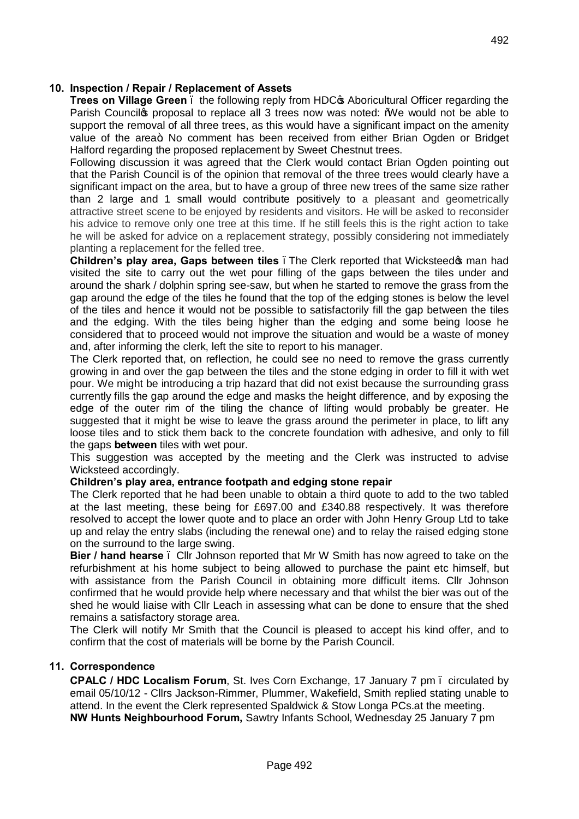### **10. Inspection / Repair / Replacement of Assets**

**Trees on Village Green** . the following reply from HDC<sub>®</sub> Aboricultural Officer regarding the Parish Council to proposal to replace all 3 trees now was noted: "We would not be able to support the removal of all three trees, as this would have a significant impact on the amenity value of the area+. No comment has been received from either Brian Ogden or Bridget Halford regarding the proposed replacement by Sweet Chestnut trees.

Following discussion it was agreed that the Clerk would contact Brian Ogden pointing out that the Parish Council is of the opinion that removal of the three trees would clearly have a significant impact on the area, but to have a group of three new trees of the same size rather than 2 large and 1 small would contribute positively to a pleasant and geometrically attractive street scene to be enjoyed by residents and visitors. He will be asked to reconsider his advice to remove only one tree at this time. If he still feels this is the right action to take he will be asked for advice on a replacement strategy, possibly considering not immediately planting a replacement for the felled tree.

**Children's play area, Gaps between tiles** . The Clerk reported that Wicksteed op man had visited the site to carry out the wet pour filling of the gaps between the tiles under and around the shark / dolphin spring see-saw, but when he started to remove the grass from the gap around the edge of the tiles he found that the top of the edging stones is below the level of the tiles and hence it would not be possible to satisfactorily fill the gap between the tiles and the edging. With the tiles being higher than the edging and some being loose he considered that to proceed would not improve the situation and would be a waste of money and, after informing the clerk, left the site to report to his manager.

The Clerk reported that, on reflection, he could see no need to remove the grass currently growing in and over the gap between the tiles and the stone edging in order to fill it with wet pour. We might be introducing a trip hazard that did not exist because the surrounding grass currently fills the gap around the edge and masks the height difference, and by exposing the edge of the outer rim of the tiling the chance of lifting would probably be greater. He suggested that it might be wise to leave the grass around the perimeter in place, to lift any loose tiles and to stick them back to the concrete foundation with adhesive, and only to fill the gaps **between** tiles with wet pour.

This suggestion was accepted by the meeting and the Clerk was instructed to advise Wicksteed accordingly.

### **Children's play area, entrance footpath and edging stone repair**

The Clerk reported that he had been unable to obtain a third quote to add to the two tabled at the last meeting, these being for £697.00 and £340.88 respectively. It was therefore resolved to accept the lower quote and to place an order with John Henry Group Ltd to take up and relay the entry slabs (including the renewal one) and to relay the raised edging stone on the surround to the large swing.

**Bier / hand hearse** . Cllr Johnson reported that Mr W Smith has now agreed to take on the refurbishment at his home subject to being allowed to purchase the paint etc himself, but with assistance from the Parish Council in obtaining more difficult items. Cllr Johnson confirmed that he would provide help where necessary and that whilst the bier was out of the shed he would liaise with Cllr Leach in assessing what can be done to ensure that the shed remains a satisfactory storage area.

The Clerk will notify Mr Smith that the Council is pleased to accept his kind offer, and to confirm that the cost of materials will be borne by the Parish Council.

### **11. Correspondence**

**CPALC / HDC Localism Forum**, St. Ives Corn Exchange, 17 January 7 pm – circulated by email 05/10/12 - Cllrs Jackson-Rimmer, Plummer, Wakefield, Smith replied stating unable to attend. In the event the Clerk represented Spaldwick & Stow Longa PCs.at the meeting. **NW Hunts Neighbourhood Forum,** Sawtry Infants School, Wednesday 25 January 7 pm